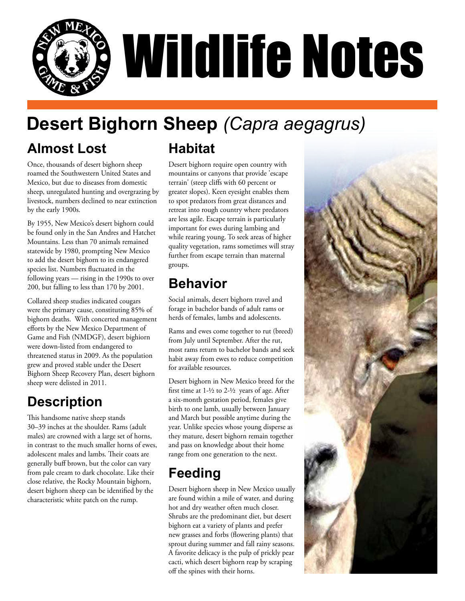

# **Desert Bighorn Sheep** *(Capra aegagrus)*

## **Almost Lost**

Once, thousands of desert bighorn sheep roamed the Southwestern United States and Mexico, but due to diseases from domestic sheep, unregulated hunting and overgrazing by livestock, numbers declined to near extinction by the early 1900s.

By 1955, New Mexico's desert bighorn could be found only in the San Andres and Hatchet Mountains. Less than 70 animals remained statewide by 1980, prompting New Mexico to add the desert bighorn to its endangered species list. Numbers fluctuated in the following years — rising in the 1990s to over 200, but falling to less than 170 by 2001.

Collared sheep studies indicated cougars were the primary cause, constituting 85% of bighorn deaths. With concerted management efforts by the New Mexico Department of Game and Fish (NMDGF), desert bighiorn were down-listed from endangered to threatened status in 2009. As the population grew and proved stable under the Desert Bighorn Sheep Recovery Plan, desert bighorn sheep were delisted in 2011.

## **Description**

This handsome native sheep stands 30–39 inches at the shoulder. Rams (adult males) are crowned with a large set of horns, in contrast to the much smaller horns of ewes, adolescent males and lambs. Their coats are generally buff brown, but the color can vary from pale cream to dark chocolate. Like their close relative, the Rocky Mountain bighorn, desert bighorn sheep can be identified by the characteristic white patch on the rump.

# **Habitat**

Desert bighorn require open country with mountains or canyons that provide 'escape terrain' (steep cliffs with 60 percent or greater slopes). Keen eyesight enables them to spot predators from great distances and retreat into rough country where predators are less agile. Escape terrain is particularly important for ewes during lambing and while rearing young. To seek areas of higher quality vegetation, rams sometimes will stray further from escape terrain than maternal groups.

#### **Behavior**

Social animals, desert bighorn travel and forage in bachelor bands of adult rams or herds of females, lambs and adolescents.

Rams and ewes come together to rut (breed) from July until September. After the rut, most rams return to bachelor bands and seek habit away from ewes to reduce competition for available resources.

Desert bighorn in New Mexico breed for the first time at  $1-\frac{1}{2}$  to  $2-\frac{1}{2}$  years of age. After a six-month gestation period, females give birth to one lamb, usually between January and March but possible anytime during the year. Unlike species whose young disperse as they mature, desert bighorn remain together and pass on knowledge about their home range from one generation to the next.

# **Feeding**

Desert bighorn sheep in New Mexico usually are found within a mile of water, and during hot and dry weather often much closer. Shrubs are the predominant diet, but desert bighorn eat a variety of plants and prefer new grasses and forbs (flowering plants) that sprout during summer and fall rainy seasons. A favorite delicacy is the pulp of prickly pear cacti, which desert bighorn reap by scraping off the spines with their horns.